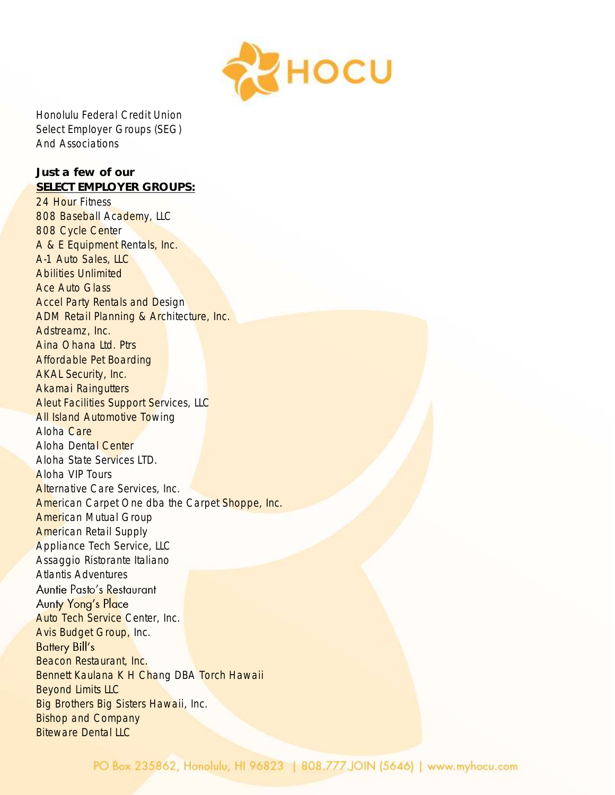

Honolulu Federal Credit Union Select Employer Groups (SEG) And Associations

*Just a few of our SELECT EMPLOYER GROUPS:* 24 Hour Fitness 808 Baseball Academy, LLC 808 Cycle Center A & E Equipment Rentals, Inc. A-1 Auto Sales, LLC Abilities Unlimited Ace Auto Glass Accel Party Rentals and Design ADM Retail Planning & Architecture, Inc. Adstreamz, Inc. Aina Ohana Ltd. Ptrs Affordable Pet Boarding AKAL Security, Inc. Akamai Raingutters **Aleut Facilities Support Services, LLC All Island Automotive Towing** Aloha Care Aloha Dental Center Aloha State Services LTD. Aloha VIP Tours Alternative Care Services, Inc. American Carpet One dba the Carpet Shoppe, Inc. American Mutual Group American Retail Supply Appliance Tech Service, LLC Assaggio Ristorante Italiano Atlantis Adventures Auntie Pasto's Restaurant **Aunty Yong's Place** Auto Tech Service Center, Inc. Avis Budget Group, Inc. **Battery Bill's** Beacon Restaurant, Inc. Bennett Kaulana K H Chang DBA Torch Hawaii Beyond Limits LLC Big Brothers Big Sisters Hawaii, Inc. Bishop and Company **Biteware Dental LLC**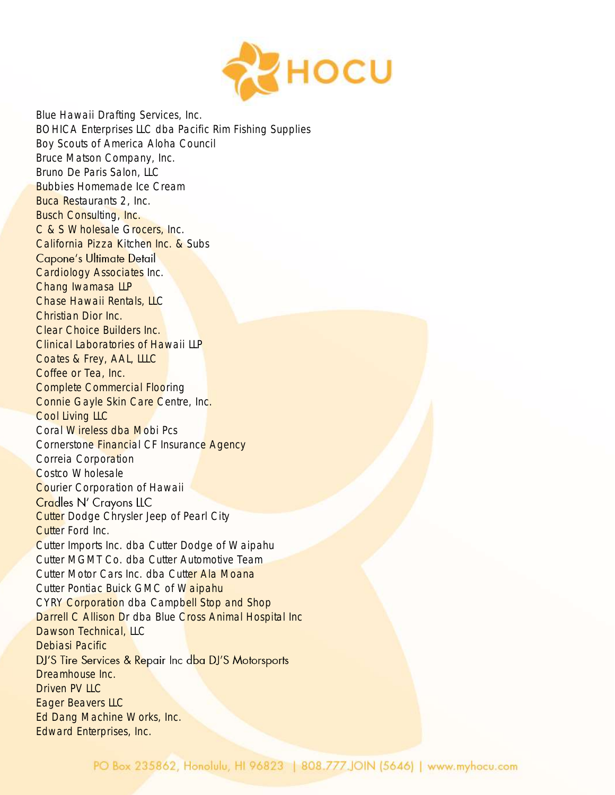

Blue Hawaii Drafting Services, Inc. BOHICA Enterprises LLC dba Pacific Rim Fishing Supplies Boy Scouts of America Aloha Council Bruce Matson Company, Inc. Bruno De Paris Salon, LLC Bubbies Homemade Ice Cream Buca Restaurants 2, Inc. **Busch Consulting, Inc.** C & S Wholesale Grocers, Inc. California Pizza Kitchen Inc. & Subs Capone's Ultimate Detail Cardiology Associates Inc. Chang Iwamasa LLP Chase Hawaii Rentals, LLC Christian Dior Inc. Clear Choice Builders Inc. Clinical Laboratories of Hawaii LLP Coates & Frey, AAL, LLLC Coffee or Tea, Inc. Complete Commercial Flooring Connie Gayle Skin Care Centre, Inc. Cool Living LLC Coral Wireless dba Mobi Pcs Cornerstone Financial CF Insurance Agency Correia Corporation Costco Wholesale **Courier Corporation of Hawaii** Cradles N' Crayons LLC **Cutter Dodge Chrysler Jeep of Pearl City** Cutter Ford Inc. Cutter Imports Inc. dba Cutter Dodge of Waipahu Cutter MGMT Co. dba Cutter Automotive Team Cutter Motor Cars Inc. dba Cutter Ala Moana Cutter Pontiac Buick GMC of Waipahu CYRY Corporation dba Campbell Stop and Shop Darrell C Allison Dr dba Blue Cross Animal Hospital Inc Dawson Technical, LLC Debiasi Pacific DJ'S Tire Services & Repair Inc dba DJ'S Motorsports Dreamhouse Inc. Driven PV LLC Eager Beavers LLC Ed Dang Machine Works, Inc. Edward Enterprises, Inc.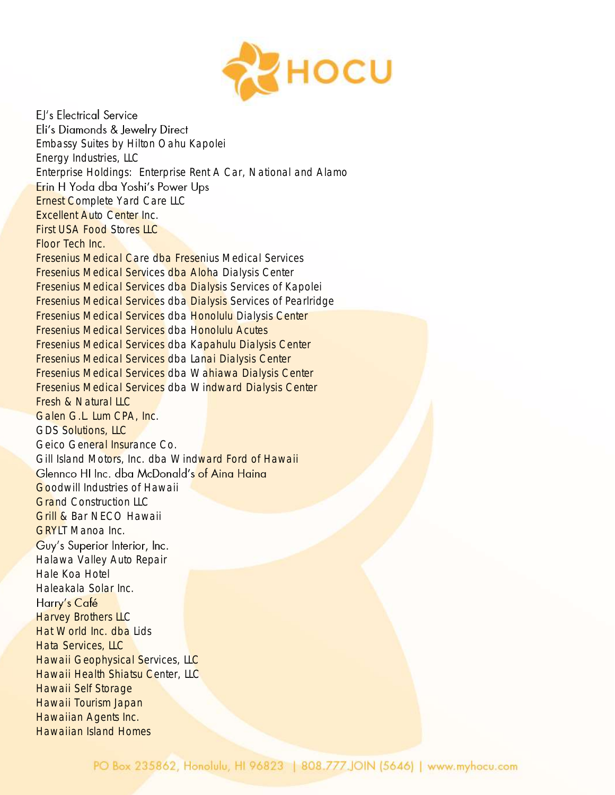

EJ's Electrical Service Eli's Diamonds & Jewelry Direct Embassy Suites by Hilton Oahu Kapolei Energy Industries, LLC Enterprise Holdings: Enterprise Rent A Car, National and Alamo Erin H Yoda dba Yoshi's Power Ups **Ernest Complete Yard Care LLC** Excellent Auto Center Inc. First USA Food Stores LLC Floor Tech Inc. Fresenius Medical Care dba Fresenius Medical Services Fresenius Medical Services dba Aloha Dialysis Center Fresenius Medical Services dba Dialysis Services of Kapolei Fresenius Medical Services dba Dialysis Services of Pearlridge Fresenius Medical Services dba Honolulu Dialysis Center Fresenius Medical Services dba Honolulu Acutes Fresenius Medical Services dba Kapahulu Dialysis Center Fresenius Medical Services dba Lanai Dialysis Center Fresenius Medical Services dba Wahiawa Dialysis Center Fresenius Medical Services dba Windward Dialysis Center Fresh & Natural LLC Galen G.L. Lum CPA, Inc. GDS Solutions, LLC Geico General Insurance Co. Gill Island Motors, Inc. dba Windward Ford of Hawaii Glennco HI Inc. dba McDonald's of Aina Haina Goodwill Industries of Hawaii **Grand Construction LLC** Grill & Bar NECO Hawaii GRYLT Manoa Inc. Guy's Superior Interior, Inc. Halawa Valley Auto Repair Hale Koa Hotel Haleakala Solar Inc. Harry's Café **Harvey Brothers LLC** Hat World Inc. dba Lids Hata Services, LLC **Hawaii Geophysical Services, LLC** Hawaii Health Shiatsu Center, LLC Hawaii Self Storage Hawaii Tourism Japan Hawaiian Agents Inc. Hawaiian Island Homes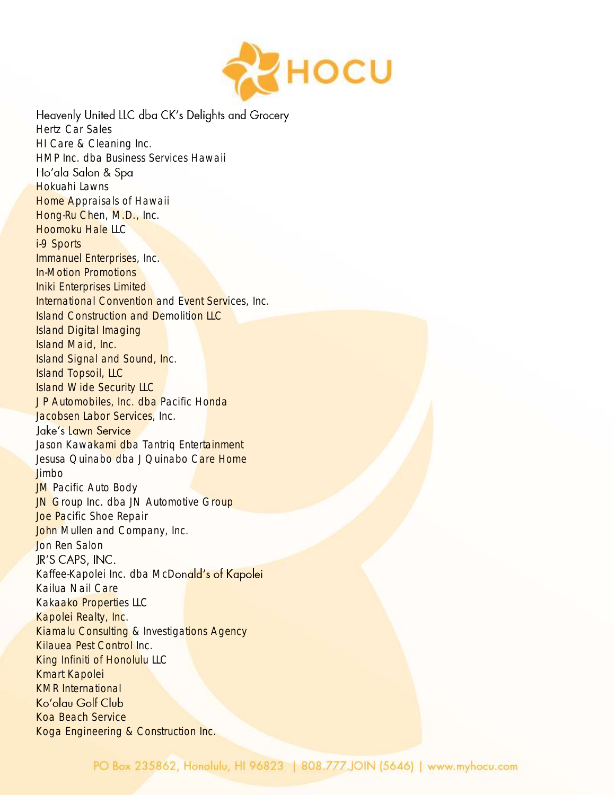

Heavenly United LLC dba CK's Delights and Grocery Hertz Car Sales HI Care & Cleaning Inc. HMP Inc. dba Business Services Hawaii Ho'ala Salon & Spa Hokuahi Lawns **Home Appraisals of Hawaii** Hong-Ru Chen, M.D., Inc. Hoomoku Hale LLC i-9 Sports Immanuel Enterprises, Inc. In-Motion Promotions Iniki Enterprises Limited International Convention and Event Services, Inc. Island Construction and Demolition LLC Island Digital Imaging Island Maid, Inc. Island Signal and Sound, Inc. Island Topsoil, LLC Island Wide Security LLC JP Automobiles, Inc. dba Pacific Honda Jacobsen Labor Services, Inc. Jake's Lawn Service Jason Kawakami dba Tantriq Entertainment Jesusa Quinabo dba J Quinabo Care Home Jimbo **JM** Pacific Auto Body JN Group Inc. dba JN Automotive Group Joe Pacific Shoe Repair John Mullen and Company, Inc. Jon Ren Salon JR'S CAPS, INC. Kaffee-Kapolei Inc. dba McDonald's of Kapolei Kailua Nail Care Kakaako Properties LLC Kapolei Realty, Inc. Kiamalu Consulting & Investigations Agency Kilauea Pest Control Inc. King Infiniti of Honolulu LLC Kmart Kapolei KMR International Ko'olau Golf Club Koa Beach Service Koga Engineering & Construction Inc.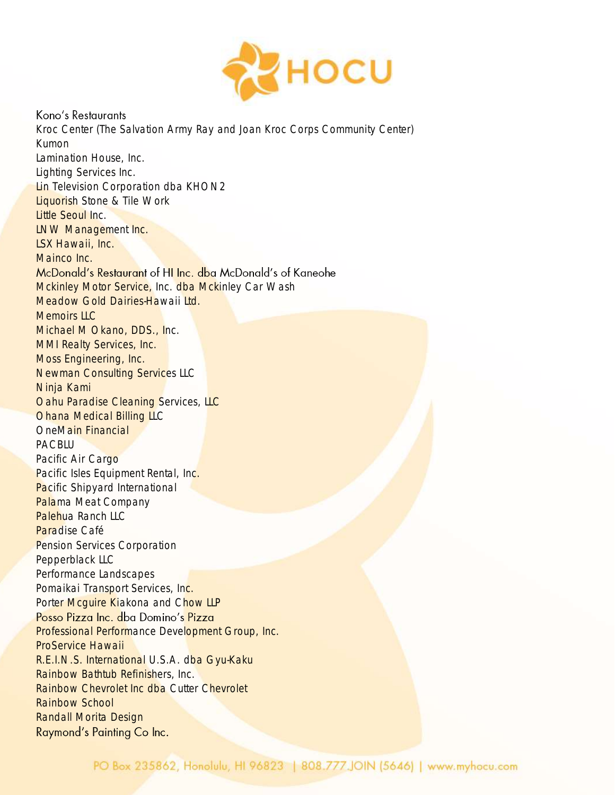

## Kono's Restaurants

Kroc Center (The Salvation Army Ray and Joan Kroc Corps Community Center) Kumon Lamination House, Inc. Lighting Services Inc. Lin Television Corporation dba KHON2 Liquorish Stone & Tile Work Little Seoul Inc. LNW Management Inc. LSX Hawaii, Inc. Mainco Inc. McDonald's Restaurant of HI Inc. dba McDonald's of Kaneohe Mckinley Motor Service, Inc. dba Mckinley Car Wash Meadow Gold Dairies-Hawaii Ltd. Memoirs LLC Michael M Okano, DDS., Inc. MMI Realty Services, Inc. Moss Engineering, Inc. Newman Consulting Services LLC Ninja Kami **Oahu Paradise Cleaning Services, LLC** Ohana Medical Billing LLC OneMain Financial PACBLU Pacific Air Cargo Pacific Isles Equipment Rental, Inc. **Pacific Shipyard International** Palama Meat Company Palehua Ranch LLC Paradise Café Pension Services Corporation Pepperblack LLC Performance Landscapes Pomaikai Transport Services, Inc. Porter Mcquire Kiakona and Chow LLP Posso Pizza Inc. dba Domino's Pizza Professional Performance Development Group, Inc. ProService Hawaii R.E.I.N.S. International U.S.A. dba Gyu-Kaku Rainbow Bathtub Refinishers, Inc. Rainbow Chevrolet Inc dba Cutter Chevrolet Rainbow School Randall Morita DesignRaymond's Painting Co Inc.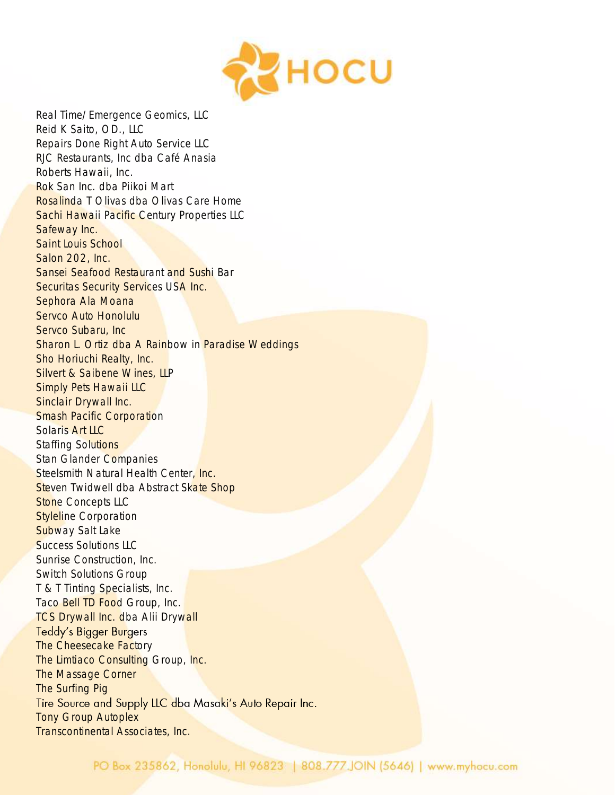

Real Time/Emergence Geomics, LLC Reid K Saito, OD., LLC Repairs Done Right Auto Service LLC RJC Restaurants, Inc dba Café Anasia Roberts Hawaii, Inc. Rok San Inc. dba Piikoi Mart Rosalinda T Olivas dba Olivas Care Home Sachi Hawaii Pacific Century Properties LLC Safeway Inc. Saint Louis School Salon 202, Inc. Sansei Seafood Restaurant and Sushi Bar Securitas Security Services USA Inc. Sephora Ala Moana Servco Auto Honolulu Servco Subaru, Inc Sharon L. Ortiz dba A Rainbow in Paradise Weddings Sho Horiuchi Realty, Inc. Silvert & Saibene Wines, LLP Simply Pets Hawaii LLC Sinclair Drywall Inc. Smash Pacific Corporation Solaris Art LLC Staffing Solutions Stan Glander Companies Steelsmith Natural Health Center, Inc. Steven Twidwell dba Abstract Skate Shop **Stone Concepts LLC Styleline Corporation** Subway Salt Lake Success Solutions LLC Sunrise Construction, Inc. Switch Solutions Group T & T Tinting Specialists, Inc. Taco Bell TD Food Group, Inc. **TCS Drywall Inc. dba Alii Drywall Teddy's Bigger Burgers** The Cheesecake Factory The Limtiaco Consulting Group, Inc. The Massage Corner The Surfing Pig Tire Source and Supply LLC dba Masaki's Auto Repair Inc. Tony Group Autoplex Transcontinental Associates, Inc.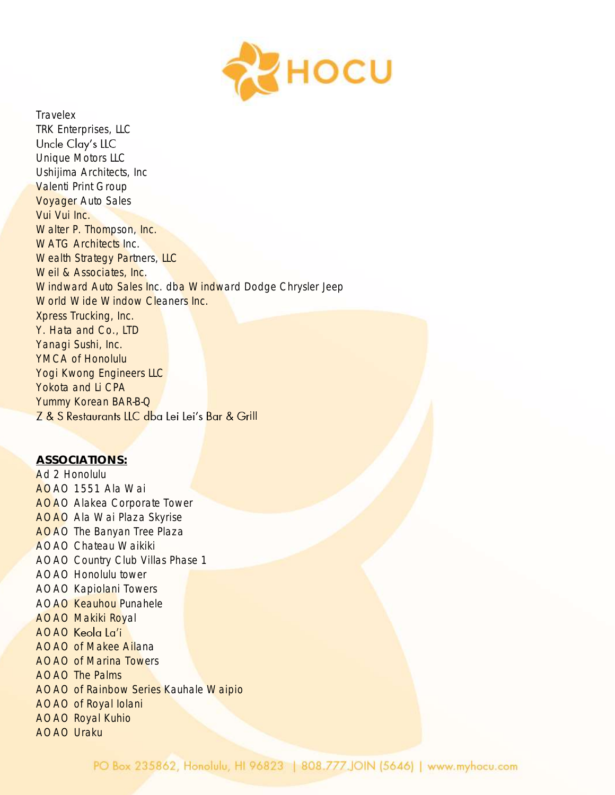

**Travelex** TRK Enterprises, LLC Uncle Clay's LLC Unique Motors LLC Ushijima Architects, Inc Valenti Print Group Voyager Auto Sales Vui Vui Inc. Walter P. Thompson, Inc. WATG Architects Inc. Wealth Strategy Partners, LLC Weil & Associates, Inc. Windward Auto Sales Inc. dba Windward Dodge Chrysler Jeep World Wide Window Cleaners Inc. Xpress Trucking, Inc. Y. Hata and Co., LTD Yanagi Sushi, Inc. YMCA of Honolulu Yogi Kwong Engineers LLC Yokota and Li CPA Yummy Korean BAR-B-Q Z & S Restaurants LLC dba Lei Lei's Bar & Grill

*ASSOCIATIONS:* Ad 2 Honolulu AOAO 1551 Ala Wai AOAO Alakea Corporate Tower AOAO Ala Wai Plaza Skyrise AOAO The Banyan Tree Plaza AOAO Chateau Waikiki AOAO Country Club Villas Phase 1 AOAO Honolulu tower AOAO Kapiolani Towers AOAO Keauhou Punahele AOAO Makiki Royal AOAO Keola La'i AOAO of Makee Ailana AOAO of Marina Towers AOAO The Palms AOAO of Rainbow Series Kauhale Waipio AOAO of Royal Iolani AOAO Royal Kuhio AOAO Uraku